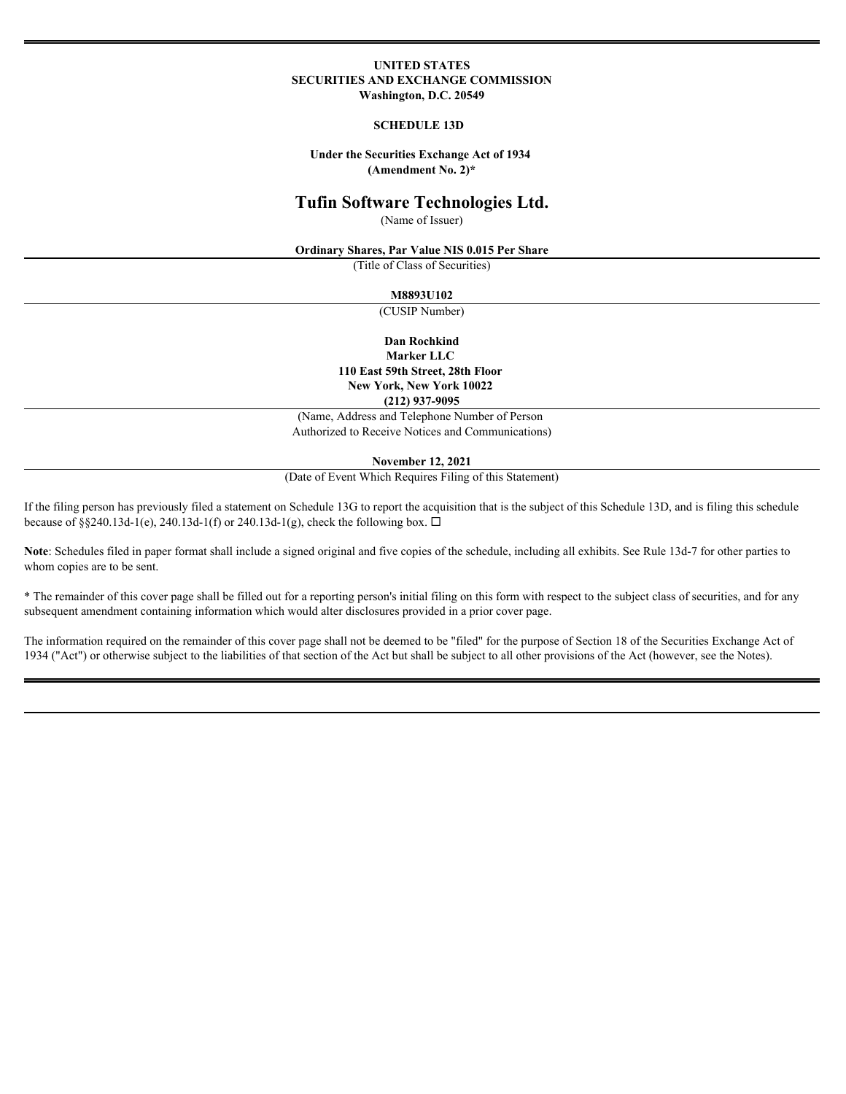#### **UNITED STATES SECURITIES AND EXCHANGE COMMISSION Washington, D.C. 20549**

### **SCHEDULE 13D**

### **Under the Securities Exchange Act of 1934 (Amendment No. 2)\***

# **Tufin Software Technologies Ltd.**

(Name of Issuer)

**Ordinary Shares, Par Value NIS 0.015 Per Share**

(Title of Class of Securities)

#### **M8893U102**

(CUSIP Number)

**Dan Rochkind Marker LLC 110 East 59th Street, 28th Floor New York, New York 10022**

**(212) 937-9095**

(Name, Address and Telephone Number of Person Authorized to Receive Notices and Communications)

#### **November 12, 2021**

(Date of Event Which Requires Filing of this Statement)

If the filing person has previously filed a statement on Schedule 13G to report the acquisition that is the subject of this Schedule 13D, and is filing this schedule because of §§240.13d-1(e), 240.13d-1(f) or 240.13d-1(g), check the following box.  $\Box$ 

**Note**: Schedules filed in paper format shall include a signed original and five copies of the schedule, including all exhibits. See Rule 13d-7 for other parties to whom copies are to be sent.

\* The remainder of this cover page shall be filled out for a reporting person's initial filing on this form with respect to the subject class of securities, and for any subsequent amendment containing information which would alter disclosures provided in a prior cover page.

The information required on the remainder of this cover page shall not be deemed to be "filed" for the purpose of Section 18 of the Securities Exchange Act of 1934 ("Act") or otherwise subject to the liabilities of that section of the Act but shall be subject to all other provisions of the Act (however, see the Notes).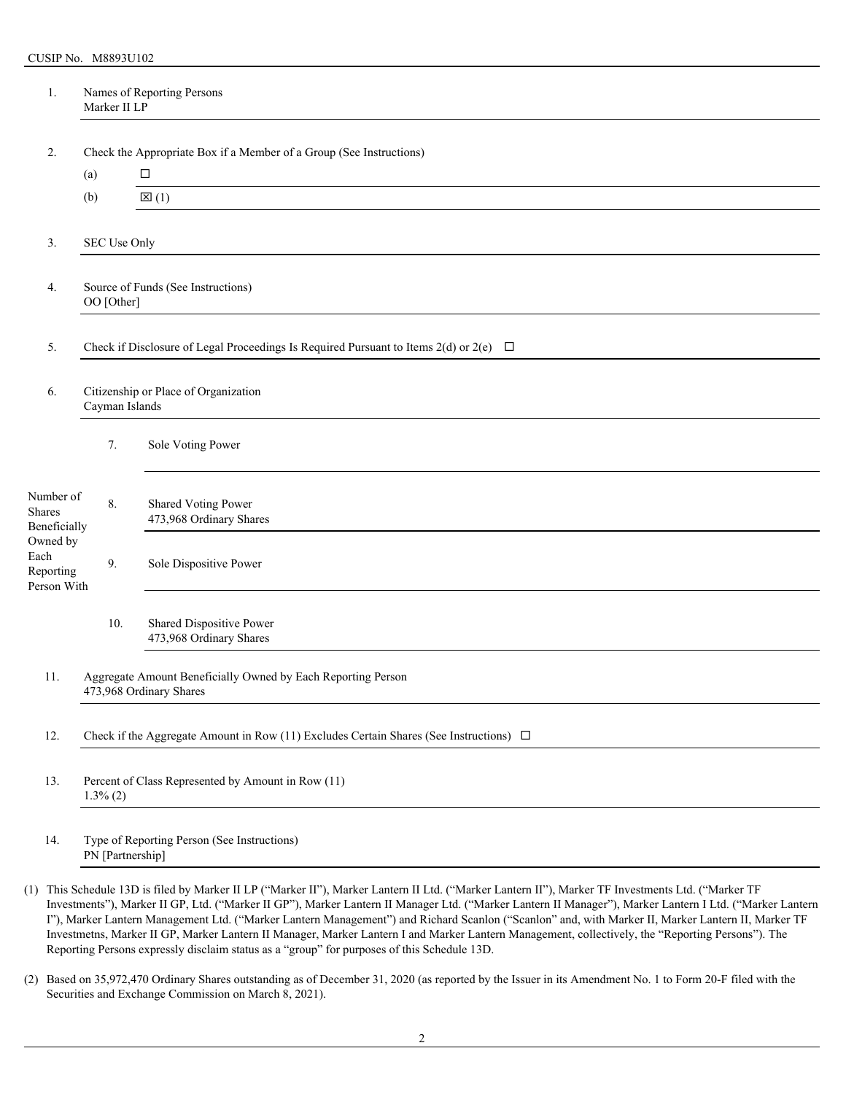| 1.                                           | Marker II LP     | Names of Reporting Persons                                                                  |
|----------------------------------------------|------------------|---------------------------------------------------------------------------------------------|
| 2.                                           |                  | Check the Appropriate Box if a Member of a Group (See Instructions)                         |
|                                              | (a)              | $\Box$                                                                                      |
|                                              | (b)              | $\mathbb{Z}(1)$                                                                             |
| 3.                                           | SEC Use Only     |                                                                                             |
| 4.                                           | OO [Other]       | Source of Funds (See Instructions)                                                          |
| 5.                                           |                  | Check if Disclosure of Legal Proceedings Is Required Pursuant to Items 2(d) or 2(e) $\Box$  |
| 6.                                           | Cayman Islands   | Citizenship or Place of Organization                                                        |
|                                              | 7.               | Sole Voting Power                                                                           |
| Number of<br>Shares<br>Beneficially          | 8.               | Shared Voting Power<br>473,968 Ordinary Shares                                              |
| Owned by<br>Each<br>Reporting<br>Person With | 9.               | Sole Dispositive Power                                                                      |
|                                              | 10.              | Shared Dispositive Power<br>473,968 Ordinary Shares                                         |
| 11.                                          |                  | Aggregate Amount Beneficially Owned by Each Reporting Person<br>473,968 Ordinary Shares     |
| 12.                                          |                  | Check if the Aggregate Amount in Row (11) Excludes Certain Shares (See Instructions) $\Box$ |
| 13.                                          | $1.3\%$ (2)      | Percent of Class Represented by Amount in Row (11)                                          |
| 14.                                          | PN [Partnership] | Type of Reporting Person (See Instructions)                                                 |

Investmetns, Marker II GP, Marker Lantern II Manager, Marker Lantern I and Marker Lantern Management, collectively, the "Reporting Persons"). The Reporting Persons expressly disclaim status as a "group" for purposes of this Schedule 13D.

(2) Based on 35,972,470 Ordinary Shares outstanding as of December 31, 2020 (as reported by the Issuer in its Amendment No. 1 to Form 20-F filed with the Securities and Exchange Commission on March 8, 2021).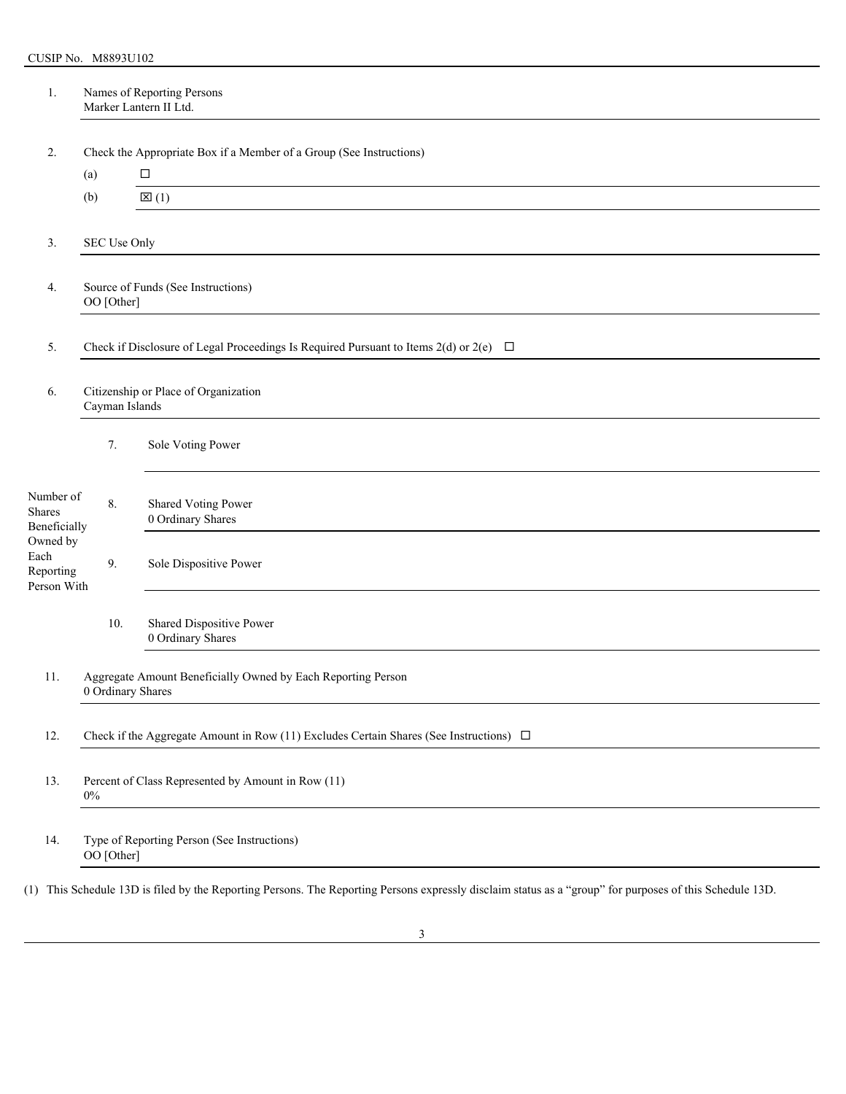| 1.                                           |                          | Names of Reporting Persons<br>Marker Lantern II Ltd. |                                                                                                                                                                           |
|----------------------------------------------|--------------------------|------------------------------------------------------|---------------------------------------------------------------------------------------------------------------------------------------------------------------------------|
| 2.                                           |                          |                                                      | Check the Appropriate Box if a Member of a Group (See Instructions)                                                                                                       |
|                                              | (a)                      |                                                      | $\Box$                                                                                                                                                                    |
|                                              | (b)                      |                                                      | $\mathbb{Z}(1)$                                                                                                                                                           |
| 3.                                           | SEC Use Only             |                                                      |                                                                                                                                                                           |
| 4.                                           | OO [Other]               |                                                      | Source of Funds (See Instructions)                                                                                                                                        |
| 5.                                           |                          |                                                      | Check if Disclosure of Legal Proceedings Is Required Pursuant to Items 2(d) or 2(e) $\Box$                                                                                |
| 6.                                           | Cayman Islands           |                                                      | Citizenship or Place of Organization                                                                                                                                      |
|                                              | 7.                       |                                                      | Sole Voting Power                                                                                                                                                         |
| Number of<br>Shares<br>Beneficially          | 8.                       |                                                      | Shared Voting Power<br>0 Ordinary Shares                                                                                                                                  |
| Owned by<br>Each<br>Reporting<br>Person With | 9.                       |                                                      | Sole Dispositive Power                                                                                                                                                    |
|                                              | 10.                      |                                                      | Shared Dispositive Power<br>0 Ordinary Shares                                                                                                                             |
| 11.                                          | $0$ Ordinary Shares $\,$ |                                                      | Aggregate Amount Beneficially Owned by Each Reporting Person                                                                                                              |
| 12.                                          |                          |                                                      | Check if the Aggregate Amount in Row (11) Excludes Certain Shares (See Instructions) $\Box$                                                                               |
| 13.                                          | $0\%$                    |                                                      | Percent of Class Represented by Amount in Row (11)<br><u> 1989 - Johann John Stoff, deutscher Stoffen und der Stoffen und der Stoffen und der Stoffen und der Stoffen</u> |
| 14.                                          | OO [Other]               |                                                      | Type of Reporting Person (See Instructions)<br><u> 1989 - Johann Stoff, deutscher Stoffen und der Stoffen und der Stoffen und der Stoffen und der Stoffen und de</u>      |
|                                              |                          |                                                      | (1) This Schedule 13D is filed by the Reporting Persons. The Reporting Persons expressly disclaim status as a "group" for purposes of this Schedule 13D.                  |

3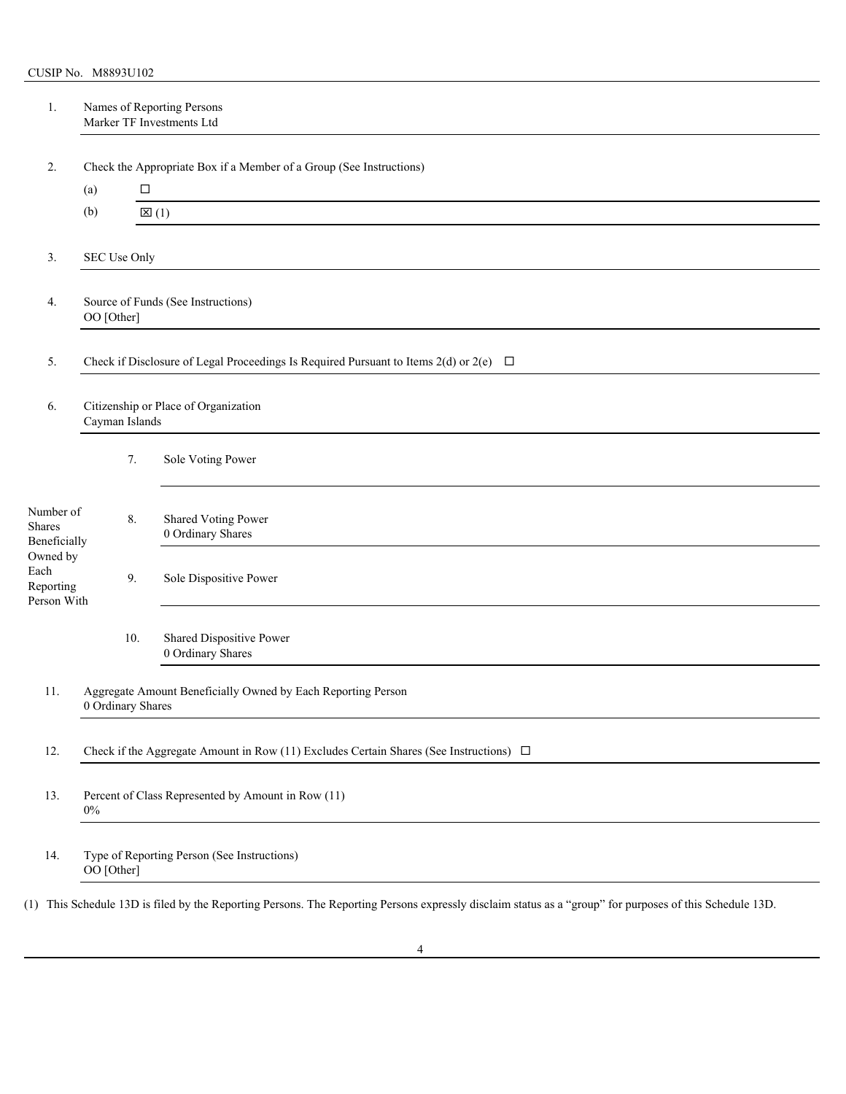| 1.                                           |                                                                     | Names of Reporting Persons<br>Marker TF Investments Ltd |                                                                                                                                                          |  |  |  |  |
|----------------------------------------------|---------------------------------------------------------------------|---------------------------------------------------------|----------------------------------------------------------------------------------------------------------------------------------------------------------|--|--|--|--|
| 2.                                           | Check the Appropriate Box if a Member of a Group (See Instructions) |                                                         |                                                                                                                                                          |  |  |  |  |
|                                              | (a)                                                                 | $\Box$                                                  |                                                                                                                                                          |  |  |  |  |
|                                              | (b)                                                                 |                                                         | $\mathbb{Z}(1)$                                                                                                                                          |  |  |  |  |
| 3.                                           |                                                                     | SEC Use Only                                            |                                                                                                                                                          |  |  |  |  |
| 4.                                           | Source of Funds (See Instructions)<br>OO [Other]                    |                                                         |                                                                                                                                                          |  |  |  |  |
| 5.                                           |                                                                     |                                                         | Check if Disclosure of Legal Proceedings Is Required Pursuant to Items 2(d) or 2(e) $\Box$                                                               |  |  |  |  |
| 6.                                           | Citizenship or Place of Organization<br>Cayman Islands              |                                                         |                                                                                                                                                          |  |  |  |  |
|                                              |                                                                     | 7.                                                      | Sole Voting Power                                                                                                                                        |  |  |  |  |
| Number of<br>Shares<br>Beneficially          |                                                                     | 8.                                                      | Shared Voting Power<br>0 Ordinary Shares                                                                                                                 |  |  |  |  |
| Owned by<br>Each<br>Reporting<br>Person With |                                                                     | 9.                                                      | Sole Dispositive Power                                                                                                                                   |  |  |  |  |
|                                              |                                                                     | 10.                                                     | Shared Dispositive Power<br>0 Ordinary Shares                                                                                                            |  |  |  |  |
| 11.                                          |                                                                     | 0 Ordinary Shares                                       | Aggregate Amount Beneficially Owned by Each Reporting Person                                                                                             |  |  |  |  |
| 12.                                          |                                                                     |                                                         | Check if the Aggregate Amount in Row (11) Excludes Certain Shares (See Instructions) $\Box$                                                              |  |  |  |  |
| 13.                                          | $0\%$                                                               |                                                         | Percent of Class Represented by Amount in Row (11)                                                                                                       |  |  |  |  |
| 14.                                          |                                                                     | OO [Other]                                              | Type of Reporting Person (See Instructions)                                                                                                              |  |  |  |  |
|                                              |                                                                     |                                                         | (1) This Schedule 13D is filed by the Reporting Persons. The Reporting Persons expressly disclaim status as a "group" for purposes of this Schedule 13D. |  |  |  |  |

4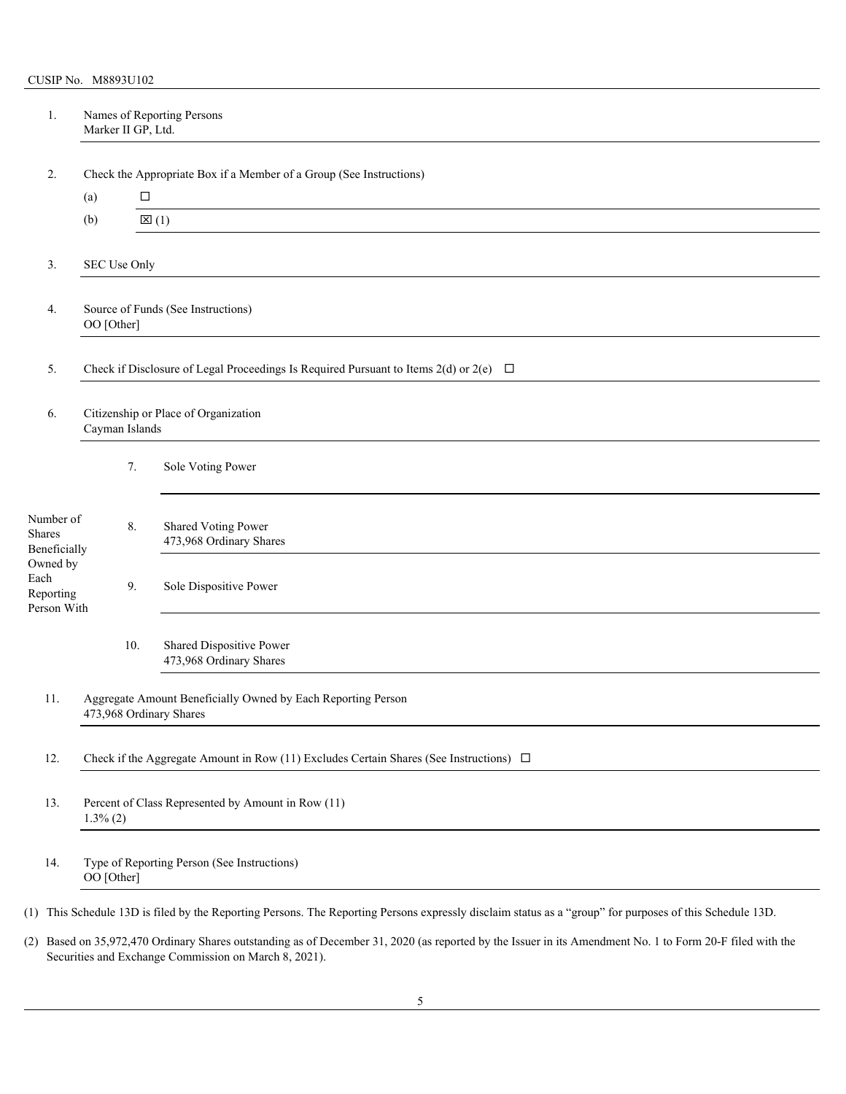| 1.                                           | Marker II GP, Ltd.      |                 | Names of Reporting Persons                                                                                                                                                                                         |
|----------------------------------------------|-------------------------|-----------------|--------------------------------------------------------------------------------------------------------------------------------------------------------------------------------------------------------------------|
| 2.                                           |                         |                 | Check the Appropriate Box if a Member of a Group (See Instructions)                                                                                                                                                |
|                                              | (a)                     | $\Box$          |                                                                                                                                                                                                                    |
|                                              | (b)                     | $\mathbb{Z}(1)$ |                                                                                                                                                                                                                    |
| 3.                                           | SEC Use Only            |                 |                                                                                                                                                                                                                    |
| 4.                                           | OO [Other]              |                 | Source of Funds (See Instructions)                                                                                                                                                                                 |
| 5.                                           |                         |                 | Check if Disclosure of Legal Proceedings Is Required Pursuant to Items 2(d) or 2(e) $\Box$                                                                                                                         |
| 6.                                           | Cayman Islands          |                 | Citizenship or Place of Organization                                                                                                                                                                               |
|                                              |                         | 7.              | Sole Voting Power                                                                                                                                                                                                  |
| Number of<br>Shares<br>Beneficially          |                         | 8.              | Shared Voting Power<br>473,968 Ordinary Shares                                                                                                                                                                     |
| Owned by<br>Each<br>Reporting<br>Person With |                         | 9.              | Sole Dispositive Power                                                                                                                                                                                             |
|                                              |                         | 10.             | Shared Dispositive Power<br>473,968 Ordinary Shares                                                                                                                                                                |
| 11.                                          | 473,968 Ordinary Shares |                 | Aggregate Amount Beneficially Owned by Each Reporting Person                                                                                                                                                       |
| 12.                                          |                         |                 | Check if the Aggregate Amount in Row (11) Excludes Certain Shares (See Instructions) $\Box$                                                                                                                        |
| 13.                                          | $1.3\%$ (2)             |                 | Percent of Class Represented by Amount in Row (11)                                                                                                                                                                 |
| 14.                                          | OO [Other]              |                 | Type of Reporting Person (See Instructions)                                                                                                                                                                        |
|                                              |                         |                 | (1) This Schedule 13D is filed by the Reporting Persons. The Reporting Persons expressly disclaim status as a "group" for purposes of this Schedule 13D.                                                           |
|                                              |                         |                 | (2) Based on 35,972,470 Ordinary Shares outstanding as of December 31, 2020 (as reported by the Issuer in its Amendment No. 1 to Form 20-F filed with the<br>Securities and Exchange Commission on March 8, 2021). |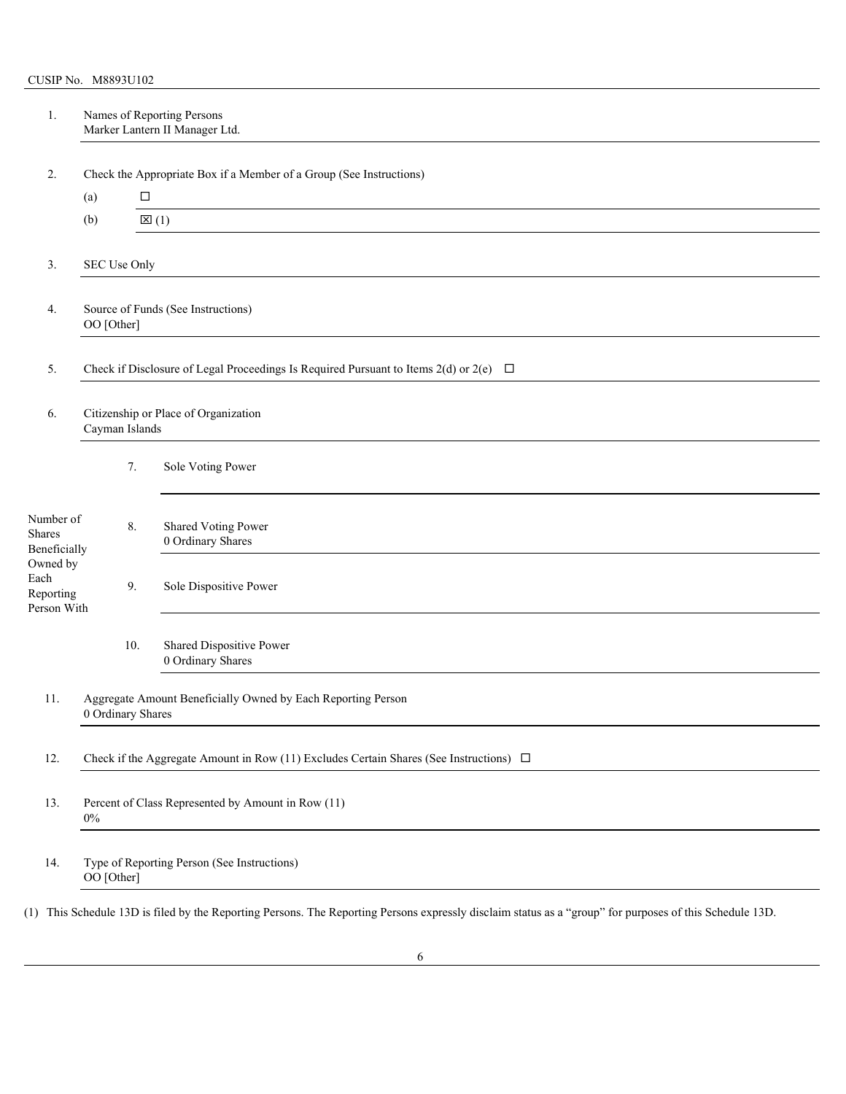|                                                  |                                                                     | Names of Reporting Persons<br>Marker Lantern II Manager Ltd.                                                                                                                                                                  |  |  |  |  |  |
|--------------------------------------------------|---------------------------------------------------------------------|-------------------------------------------------------------------------------------------------------------------------------------------------------------------------------------------------------------------------------|--|--|--|--|--|
|                                                  | Check the Appropriate Box if a Member of a Group (See Instructions) |                                                                                                                                                                                                                               |  |  |  |  |  |
| (a)                                              | $\Box$                                                              |                                                                                                                                                                                                                               |  |  |  |  |  |
| (b)                                              |                                                                     | $\mathbb{Z}(1)$                                                                                                                                                                                                               |  |  |  |  |  |
|                                                  |                                                                     |                                                                                                                                                                                                                               |  |  |  |  |  |
| Source of Funds (See Instructions)<br>OO [Other] |                                                                     |                                                                                                                                                                                                                               |  |  |  |  |  |
|                                                  |                                                                     | Check if Disclosure of Legal Proceedings Is Required Pursuant to Items 2(d) or 2(e) $\Box$                                                                                                                                    |  |  |  |  |  |
|                                                  |                                                                     | Citizenship or Place of Organization                                                                                                                                                                                          |  |  |  |  |  |
|                                                  | 7.                                                                  | Sole Voting Power                                                                                                                                                                                                             |  |  |  |  |  |
| Number of<br>Beneficially                        | 8.                                                                  | Shared Voting Power<br>0 Ordinary Shares                                                                                                                                                                                      |  |  |  |  |  |
| Reporting<br>Person With                         | 9.                                                                  | Sole Dispositive Power                                                                                                                                                                                                        |  |  |  |  |  |
|                                                  | 10.                                                                 | Shared Dispositive Power<br>0 Ordinary Shares                                                                                                                                                                                 |  |  |  |  |  |
|                                                  |                                                                     | Aggregate Amount Beneficially Owned by Each Reporting Person                                                                                                                                                                  |  |  |  |  |  |
|                                                  |                                                                     | Check if the Aggregate Amount in Row (11) Excludes Certain Shares (See Instructions) $\Box$                                                                                                                                   |  |  |  |  |  |
| $0\%$                                            |                                                                     | Percent of Class Represented by Amount in Row (11)                                                                                                                                                                            |  |  |  |  |  |
|                                                  |                                                                     | Type of Reporting Person (See Instructions)                                                                                                                                                                                   |  |  |  |  |  |
|                                                  | Owned by                                                            | SEC Use Only<br>Cayman Islands<br>0 Ordinary Shares<br>OO [Other]<br>(1) This Schedule 13D is filed by the Reporting Persons. The Reporting Persons expressly disclaim status as a "group" for purposes of this Schedule 13D. |  |  |  |  |  |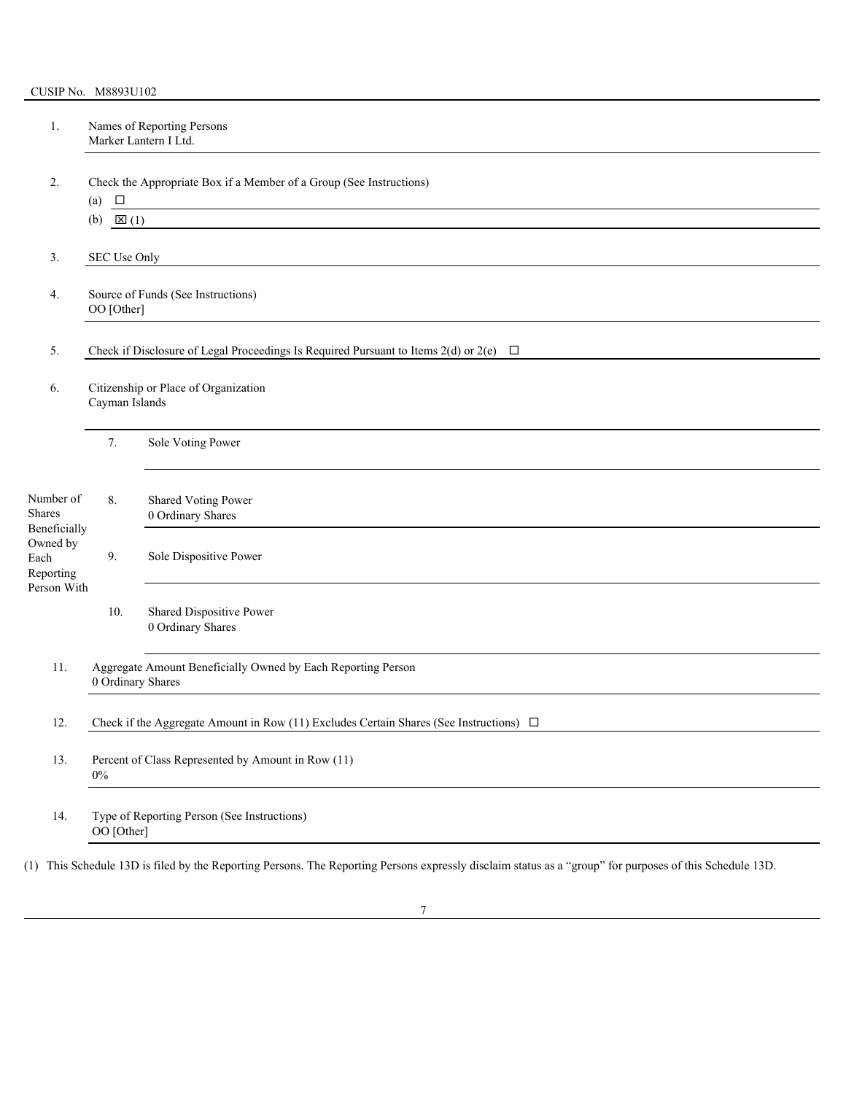| 1.                                  |                                                                                                                                                                                                                                         | Names of Reporting Persons<br>Marker Lantern I Ltd.                                         |  |  |  |
|-------------------------------------|-----------------------------------------------------------------------------------------------------------------------------------------------------------------------------------------------------------------------------------------|---------------------------------------------------------------------------------------------|--|--|--|
| 2.                                  | Check the Appropriate Box if a Member of a Group (See Instructions)<br>$\Box$<br>(a)<br>(b)<br>$\boxtimes$ (1)<br><u> 1989 - Johann Stoff, deutscher Stoff, der Stoff, der Stoff, der Stoff, der Stoff, der Stoff, der Stoff, der S</u> |                                                                                             |  |  |  |
| 3.                                  | SEC Use Only                                                                                                                                                                                                                            | <u> 1989 - Johann Stoff, amerikansk politiker (d. 1989)</u>                                 |  |  |  |
| 4.                                  | OO [Other]                                                                                                                                                                                                                              | Source of Funds (See Instructions)                                                          |  |  |  |
| 5.                                  |                                                                                                                                                                                                                                         | Check if Disclosure of Legal Proceedings Is Required Pursuant to Items 2(d) or 2(e) $\Box$  |  |  |  |
| 6.                                  | Citizenship or Place of Organization<br>Cayman Islands                                                                                                                                                                                  |                                                                                             |  |  |  |
|                                     | 7.                                                                                                                                                                                                                                      | Sole Voting Power                                                                           |  |  |  |
| Number of<br>Shares<br>Beneficially | 8.                                                                                                                                                                                                                                      | Shared Voting Power<br>0 Ordinary Shares                                                    |  |  |  |
| Owned by<br>Each<br>Reporting       | 9.                                                                                                                                                                                                                                      | Sole Dispositive Power                                                                      |  |  |  |
| Person With                         | 10.                                                                                                                                                                                                                                     | Shared Dispositive Power<br>0 Ordinary Shares                                               |  |  |  |
| 11.                                 | 0 Ordinary Shares                                                                                                                                                                                                                       | Aggregate Amount Beneficially Owned by Each Reporting Person                                |  |  |  |
| 12.                                 |                                                                                                                                                                                                                                         | Check if the Aggregate Amount in Row (11) Excludes Certain Shares (See Instructions) $\Box$ |  |  |  |
| 13.                                 | $0\%$                                                                                                                                                                                                                                   | Percent of Class Represented by Amount in Row (11)                                          |  |  |  |
| 14.                                 | OO [Other]                                                                                                                                                                                                                              | Type of Reporting Person (See Instructions)                                                 |  |  |  |
|                                     |                                                                                                                                                                                                                                         |                                                                                             |  |  |  |

(1) This Schedule 13D is filed by the Reporting Persons. The Reporting Persons expressly disclaim status as a "group" for purposes of this Schedule 13D.

<u> 1980 - Johann Barbara, martxa alemaniar a</u>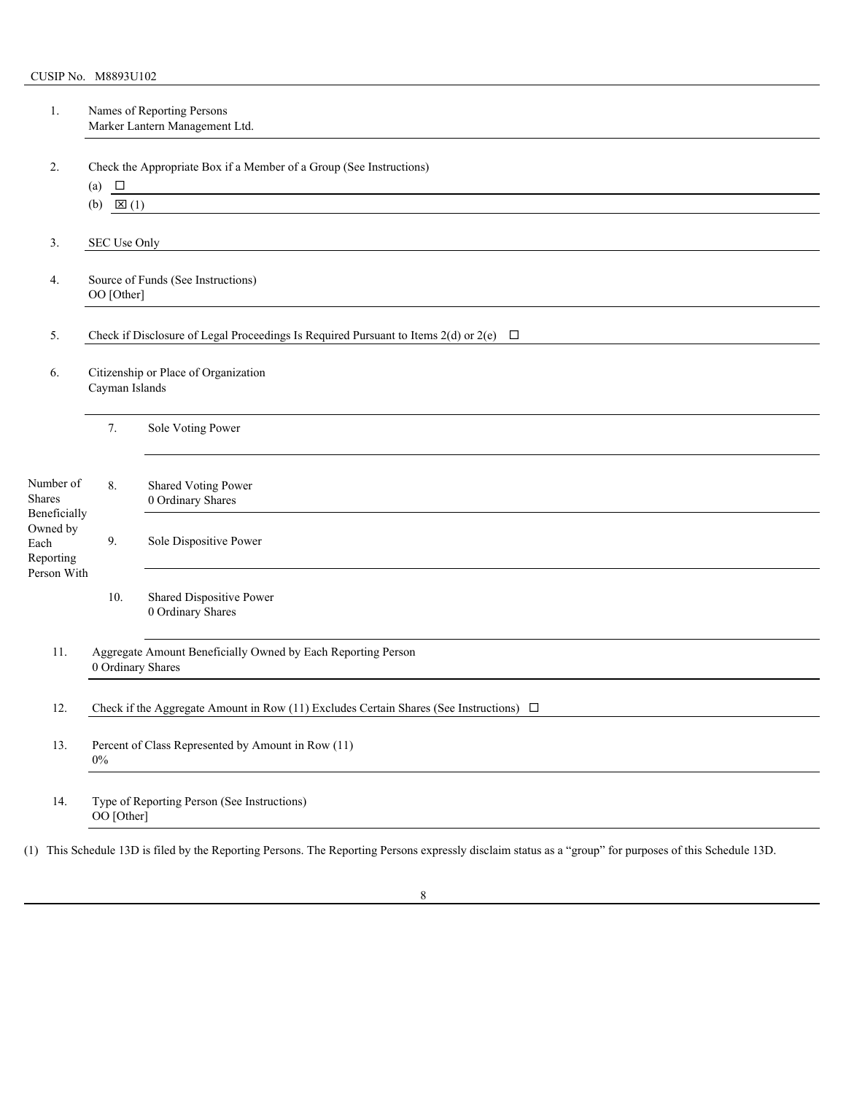| 1.                                  |                                                  | Names of Reporting Persons<br>Marker Lantern Management Ltd.                                                                       |  |  |  |  |
|-------------------------------------|--------------------------------------------------|------------------------------------------------------------------------------------------------------------------------------------|--|--|--|--|
| 2.                                  | $\Box$<br>(a)<br>(b) $\boxtimes$ (1)             | Check the Appropriate Box if a Member of a Group (See Instructions)<br><u> 1989 - Johann Stoff, amerikansk politiker (d. 1989)</u> |  |  |  |  |
| 3.                                  | SEC Use Only                                     |                                                                                                                                    |  |  |  |  |
| 4.                                  | Source of Funds (See Instructions)<br>OO [Other] |                                                                                                                                    |  |  |  |  |
| 5.                                  |                                                  | Check if Disclosure of Legal Proceedings Is Required Pursuant to Items 2(d) or 2(e) $\Box$                                         |  |  |  |  |
| 6.                                  | Cayman Islands                                   | Citizenship or Place of Organization                                                                                               |  |  |  |  |
|                                     | 7.                                               | Sole Voting Power                                                                                                                  |  |  |  |  |
| Number of<br>Shares<br>Beneficially | 8.                                               | Shared Voting Power<br>0 Ordinary Shares                                                                                           |  |  |  |  |
| Owned by<br>Each<br>Reporting       | 9.                                               | Sole Dispositive Power                                                                                                             |  |  |  |  |
| Person With                         | 10.                                              | Shared Dispositive Power<br>0 Ordinary Shares                                                                                      |  |  |  |  |
| 11.                                 | 0 Ordinary Shares                                | Aggregate Amount Beneficially Owned by Each Reporting Person                                                                       |  |  |  |  |
| 12.                                 |                                                  | Check if the Aggregate Amount in Row (11) Excludes Certain Shares (See Instructions) $\Box$                                        |  |  |  |  |
| 13.                                 | $0\%$                                            | Percent of Class Represented by Amount in Row (11)                                                                                 |  |  |  |  |
| 14.                                 | OO [Other]                                       | Type of Reporting Person (See Instructions)                                                                                        |  |  |  |  |
|                                     |                                                  |                                                                                                                                    |  |  |  |  |

(1) This Schedule 13D is filed by the Reporting Persons. The Reporting Persons expressly disclaim status as a "group" for purposes of this Schedule 13D.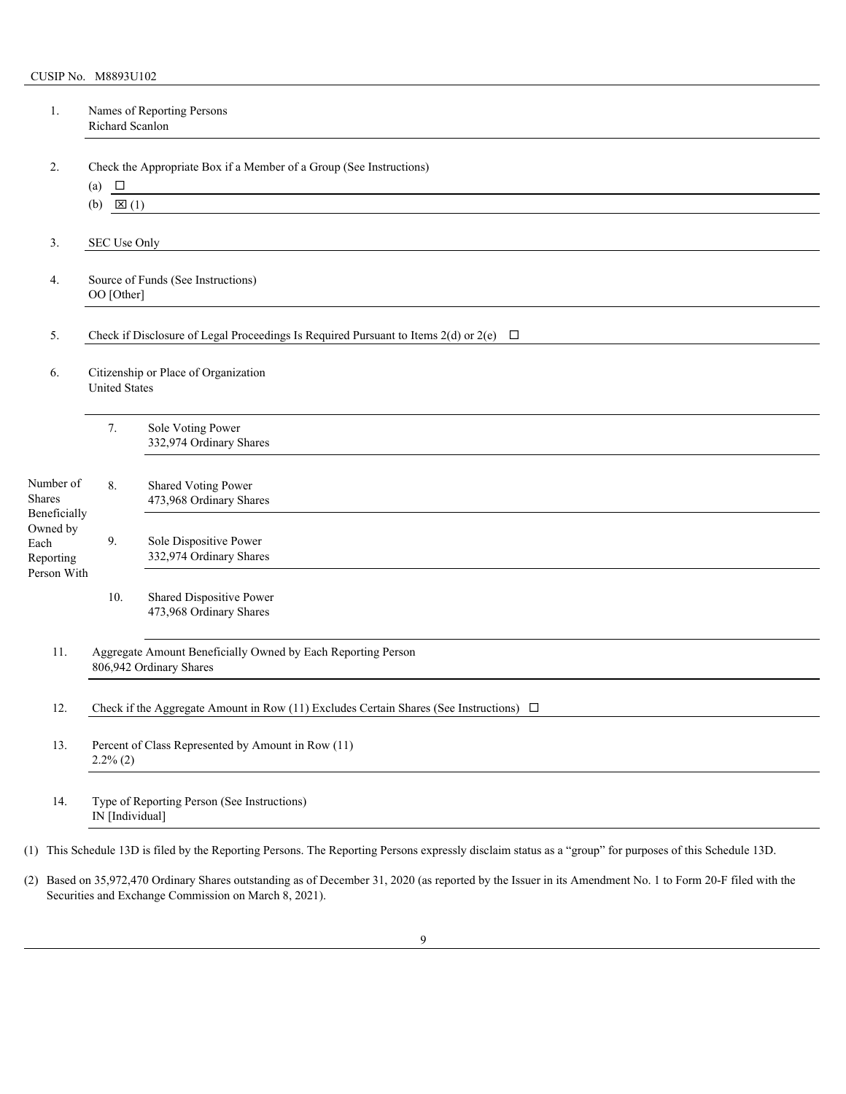| 1.                                           | Richard Scanlon                                              | Names of Reporting Persons                                                                                                                               |  |  |  |
|----------------------------------------------|--------------------------------------------------------------|----------------------------------------------------------------------------------------------------------------------------------------------------------|--|--|--|
| 2.                                           | $\Box$<br>(a)<br>(b) $\boxtimes$ (1)                         | Check the Appropriate Box if a Member of a Group (See Instructions)<br><u> 1989 - Johann Barbara, martxa al III-lea (h. 1989).</u>                       |  |  |  |
| 3 <sub>1</sub>                               | SEC Use Only                                                 |                                                                                                                                                          |  |  |  |
| 4.                                           | Source of Funds (See Instructions)<br>OO [Other]             |                                                                                                                                                          |  |  |  |
| 5.                                           |                                                              | Check if Disclosure of Legal Proceedings Is Required Pursuant to Items 2(d) or 2(e) $\Box$                                                               |  |  |  |
| 6.                                           | Citizenship or Place of Organization<br><b>United States</b> |                                                                                                                                                          |  |  |  |
|                                              | 7.                                                           | Sole Voting Power<br>332,974 Ordinary Shares                                                                                                             |  |  |  |
| Number of<br>Shares<br>Beneficially          | 8.                                                           | Shared Voting Power<br>473,968 Ordinary Shares                                                                                                           |  |  |  |
| Owned by<br>Each<br>Reporting<br>Person With | 9.                                                           | Sole Dispositive Power<br>332,974 Ordinary Shares                                                                                                        |  |  |  |
|                                              | 10.                                                          | Shared Dispositive Power<br>473,968 Ordinary Shares                                                                                                      |  |  |  |
| 11.                                          |                                                              | Aggregate Amount Beneficially Owned by Each Reporting Person<br>806,942 Ordinary Shares                                                                  |  |  |  |
| 12.                                          |                                                              | Check if the Aggregate Amount in Row (11) Excludes Certain Shares (See Instructions) $\Box$                                                              |  |  |  |
| 13.                                          | $2.2\%$ (2)                                                  | Percent of Class Represented by Amount in Row (11)                                                                                                       |  |  |  |
| 14.                                          | IN [Individual]                                              | Type of Reporting Person (See Instructions)                                                                                                              |  |  |  |
|                                              |                                                              | (1) This Schedule 13D is filed by the Reporting Persons. The Reporting Persons expressly disclaim status as a "group" for purposes of this Schedule 13D. |  |  |  |

(2) Based on 35,972,470 Ordinary Shares outstanding as of December 31, 2020 (as reported by the Issuer in its Amendment No. 1 to Form 20-F filed with the Securities and Exchange Commission on March 8, 2021).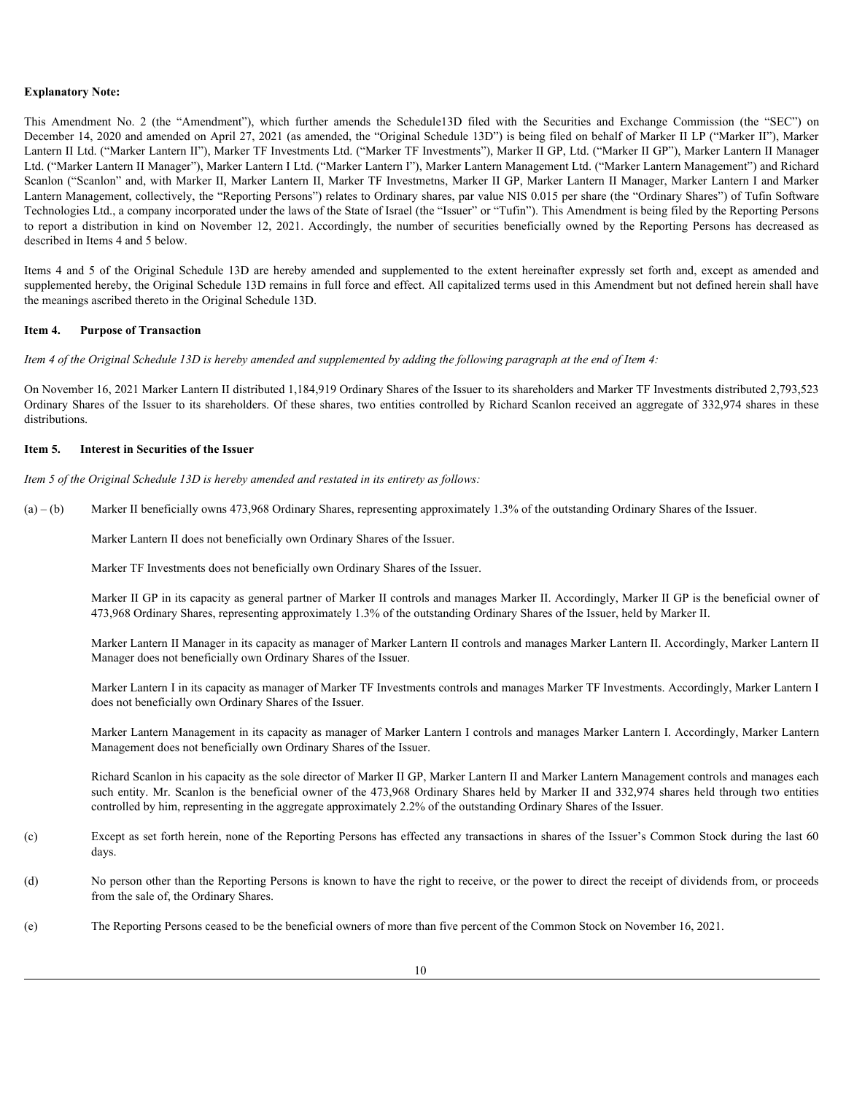#### **Explanatory Note:**

Explanatory Note:<br>This Amendment No. 2 (the "Amendment"), which further amends the Schedule13D filed with the Securities and Exchange Commission (the "SEC") on<br>December 14, 2020 and amended on April 27, 2021 (as amended, t December 14, 2020 and amended on April 27, 2021 (as amended, the "Original Schedule 13D") is being filed on behalf of Marker II LP ("Marker II"), Marker Lantern II Ltd. ("Marker Lantern II"), Marker TF Investments Ltd. ("Marker TF Investments"), Marker II GP, Ltd. ("Marker II GP"), Marker Lantern II Manager Ltd. ("Marker Lantern II Manager"), Marker Lantern I Ltd. ("Marker Lantern I"), Marker Lantern Management Ltd. ("Marker Lantern Management") and Richard Scanlon ("Scanlon" and, with Marker II, Marker Lantern II, Marker TF Investmetns, Marker II GP, Marker Lantern II Manager, Marker Lantern I and Marker Lantern Management, collectively, the "Reporting Persons") relates to Ordinary shares, par value NIS 0.015 per share (the "Ordinary Shares") of Tufin Software Technologies Ltd., a company incorporated under the laws of the State of Israel (the "Issuer" or "Tufin"). This Amendment is being filed by the Reporting Persons Explanatory Note:<br>
This Amendment No. 2 (the "Amendment"), which further amends the Schedule13D field with the Securities and Exchange Commission (the "SEC") on<br>
Docember 14, 2020 and amended on April 27, 2021 (as amended, described in Items 4 and 5 below. **Explanatory Note:**<br>
This Amendment No. 2 (the "Amendment"), which futther amends the Schedule 13D field with the Securities and Exchange Commission (the "SEC") on<br>
December 14, 2020 and amended on April 7, Narker 11 have

supplemented hereby, the Original Schedule 13D remains in full force and effect. All capitalized terms used in this Amendment but not defined herein shall have the meanings ascribed thereto in the Original Schedule 13D.

#### **Item 4. Purpose of Transaction**

*Item 4 of the Original Schedule 13D is hereby amended and supplemented by adding the following paragraph at the end of Item 4:*

On November 16, 2021 Marker Lantern II distributed 1,184,919 Ordinary Shares of the Issuer to its shareholders and Marker TF Investments distributed 2,793,523 Ordinary Shares of the Issuer to its shareholders. Of these shares, two entities controlled by Richard Scanlon received an aggregate of 332,974 shares in these distributions.

### **Item 5. Interest in Securities of the Issuer**

*Item 5 of the Original Schedule 13D is hereby amended and restated in its entirety as follows:*

(a) – (b) Marker II beneficially owns 473,968 Ordinary Shares, representing approximately 1.3% of the outstanding Ordinary Shares of the Issuer.

Marker Lantern II does not beneficially own Ordinary Shares of the Issuer.

Marker TF Investments does not beneficially own Ordinary Shares of the Issuer.

Marker II GP in its capacity as general partner of Marker II controls and manages Marker II. Accordingly, Marker II GP is the beneficial owner of 473,968 Ordinary Shares, representing approximately 1.3% of the outstanding Ordinary Shares of the Issuer, held by Marker II.

Marker Lantern II Manager in its capacity as manager of Marker Lantern II controls and manages Marker Lantern II. Accordingly, Marker Lantern II Manager does not beneficially own Ordinary Shares of the Issuer.

Marker Lantern I in its capacity as manager of Marker TF Investments controls and manages Marker TF Investments. Accordingly, Marker Lantern I does not beneficially own Ordinary Shares of the Issuer.

Marker Lantern Management in its capacity as manager of Marker Lantern I controls and manages Marker Lantern I. Accordingly, Marker Lantern Management does not beneficially own Ordinary Shares of the Issuer.

Richard Scanlon in his capacity as the sole director of Marker II GP, Marker Lantern II and Marker Lantern Management controls and manages each such entity. Mr. Scanlon is the beneficial owner of the 473,968 Ordinary Shares held by Marker II and 332,974 shares held through two entities controlled by him, representing in the aggregate approximately 2.2% of the outstanding Ordinary Shares of the Issuer.

- (c) Except as set forth herein, none of the Reporting Persons has effected any transactions in shares of the Issuer's Common Stock during the last 60 days.
- (d) No person other than the Reporting Persons is known to have the right to receive, or the power to direct the receipt of dividends from, or proceeds from the sale of, the Ordinary Shares.
- (e) The Reporting Persons ceased to be the beneficial owners of more than five percent of the Common Stock on November 16, 2021.